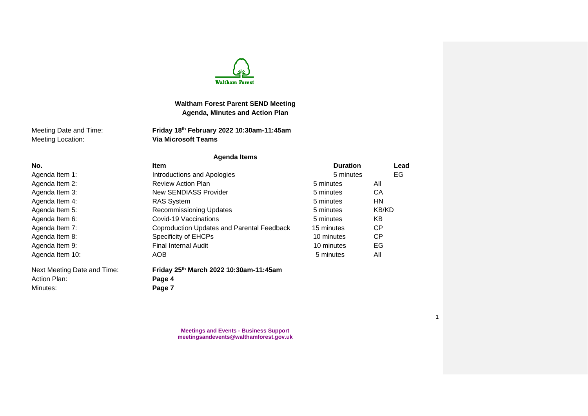

# **Waltham Forest Parent SEND Meeting Agenda, Minutes and Action Plan**

Meeting Location: **Via Microsoft Teams**

Meeting Date and Time: **Friday 18th February 2022 10:30am-11:45am**

# **Agenda Items**

| No.<br><b>Item</b>          |                                            | <b>Duration</b> | Lead         |
|-----------------------------|--------------------------------------------|-----------------|--------------|
| Agenda Item 1:              | Introductions and Apologies                | 5 minutes       | EG           |
| Agenda Item 2:              | <b>Review Action Plan</b>                  | 5 minutes       | All          |
| Agenda Item 3:              | New SENDIASS Provider                      | 5 minutes       | CA           |
| Agenda Item 4:              | <b>RAS System</b>                          | 5 minutes       | <b>HN</b>    |
| Agenda Item 5:              | <b>Recommissioning Updates</b>             | 5 minutes       | <b>KB/KD</b> |
| Agenda Item 6:              | Covid-19 Vaccinations                      | 5 minutes       | KB.          |
| Agenda Item 7:              | Coproduction Updates and Parental Feedback | 15 minutes      | <b>CP</b>    |
| Agenda Item 8:              | Specificity of EHCPs                       | 10 minutes      | <b>CP</b>    |
| Agenda Item 9:              | <b>Final Internal Audit</b>                | 10 minutes      | EG           |
| Agenda Item 10:             | AOB                                        | 5 minutes       | All          |
| Next Meeting Date and Time: | Friday 25th March 2022 10:30am-11:45am     |                 |              |
| Action Plan:                | Page 4                                     |                 |              |
| Minutes:                    | Page 7                                     |                 |              |

**Meetings and Events - Business Support meetingsandevents@walthamforest.gov.uk**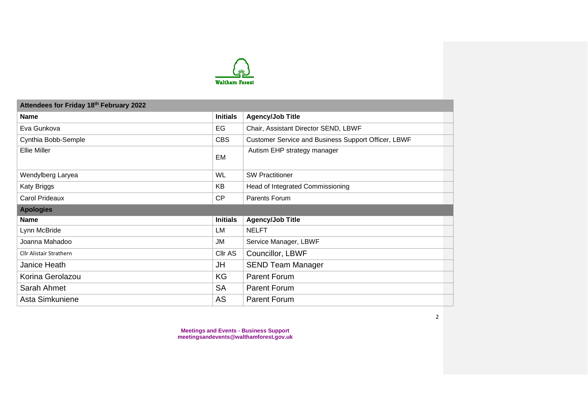

| Attendees for Friday 18th February 2022 |                 |                                                     |  |  |  |  |
|-----------------------------------------|-----------------|-----------------------------------------------------|--|--|--|--|
| <b>Name</b>                             | <b>Initials</b> | <b>Agency/Job Title</b>                             |  |  |  |  |
| Eva Gunkova                             | EG              | Chair, Assistant Director SEND, LBWF                |  |  |  |  |
| Cynthia Bobb-Semple                     | <b>CBS</b>      | Customer Service and Business Support Officer, LBWF |  |  |  |  |
| <b>Ellie Miller</b>                     | EM              | Autism EHP strategy manager                         |  |  |  |  |
| Wendylberg Laryea                       | <b>WL</b>       | <b>SW Practitioner</b>                              |  |  |  |  |
| Katy Briggs                             | KB              | Head of Integrated Commissioning                    |  |  |  |  |
| Carol Prideaux                          | CP              | Parents Forum                                       |  |  |  |  |
| <b>Apologies</b>                        |                 |                                                     |  |  |  |  |
| <b>Name</b>                             | <b>Initials</b> | <b>Agency/Job Title</b>                             |  |  |  |  |
| Lynn McBride                            | LM              | <b>NELFT</b>                                        |  |  |  |  |
| Joanna Mahadoo                          | JM              | Service Manager, LBWF                               |  |  |  |  |
| <b>Cllr Alistair Strathern</b>          | Cllr AS         | Councillor, LBWF                                    |  |  |  |  |
|                                         |                 |                                                     |  |  |  |  |
| Janice Heath                            | <b>JH</b>       | <b>SEND Team Manager</b>                            |  |  |  |  |
| Korina Gerolazou                        | KG              | Parent Forum                                        |  |  |  |  |
| Sarah Ahmet                             | <b>SA</b>       | Parent Forum                                        |  |  |  |  |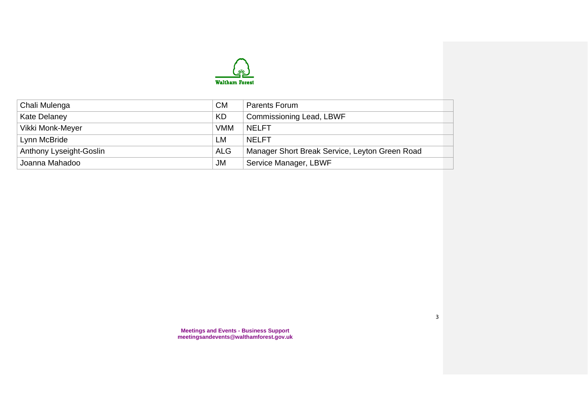

| Chali Mulenga           | СM         | Parents Forum                                  |
|-------------------------|------------|------------------------------------------------|
| Kate Delaney            | KD         | <b>Commissioning Lead, LBWF</b>                |
| Vikki Monk-Meyer        | <b>VMM</b> | <b>NELFT</b>                                   |
| Lynn McBride            | LМ         | NFI FT                                         |
| Anthony Lyseight-Goslin | <b>ALG</b> | Manager Short Break Service, Leyton Green Road |
| Joanna Mahadoo          | JM         | Service Manager, LBWF                          |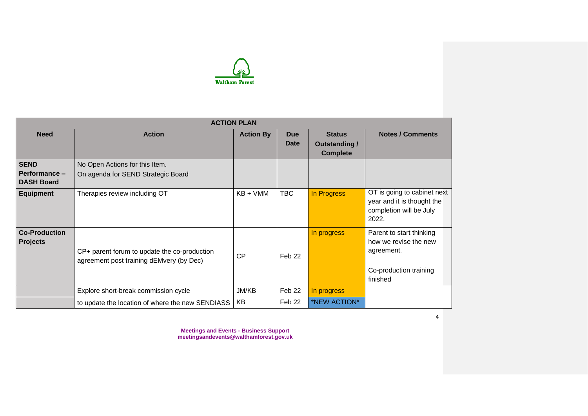

|                                                   | <b>ACTION PLAN</b>                                                                       |                  |                           |                                                          |                                                                                                       |  |  |
|---------------------------------------------------|------------------------------------------------------------------------------------------|------------------|---------------------------|----------------------------------------------------------|-------------------------------------------------------------------------------------------------------|--|--|
| <b>Need</b>                                       | <b>Action</b>                                                                            | <b>Action By</b> | <b>Due</b><br><b>Date</b> | <b>Status</b><br><b>Outstanding /</b><br><b>Complete</b> | <b>Notes / Comments</b>                                                                               |  |  |
| <b>SEND</b><br>Performance -<br><b>DASH Board</b> | No Open Actions for this Item.<br>On agenda for SEND Strategic Board                     |                  |                           |                                                          |                                                                                                       |  |  |
| <b>Equipment</b>                                  | Therapies review including OT                                                            | $KB + VMM$       | <b>TBC</b>                | In Progress                                              | OT is going to cabinet next<br>year and it is thought the<br>completion will be July<br>2022.         |  |  |
| <b>Co-Production</b><br><b>Projects</b>           | CP+ parent forum to update the co-production<br>agreement post training dEMvery (by Dec) | CP               | Feb <sub>22</sub>         | In progress                                              | Parent to start thinking<br>how we revise the new<br>agreement.<br>Co-production training<br>finished |  |  |
|                                                   | Explore short-break commission cycle                                                     | JM/KB            | Feb 22                    | In progress                                              |                                                                                                       |  |  |
|                                                   | to update the location of where the new SENDIASS                                         | KB               | Feb 22                    | *NEW ACTION*                                             |                                                                                                       |  |  |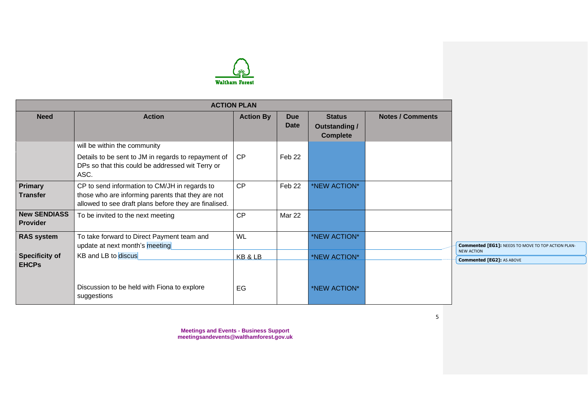

|                                        |                                                                                                                                                             | <b>ACTION PLAN</b> |                           |                                                          |                         |
|----------------------------------------|-------------------------------------------------------------------------------------------------------------------------------------------------------------|--------------------|---------------------------|----------------------------------------------------------|-------------------------|
| <b>Need</b>                            | <b>Action</b>                                                                                                                                               | <b>Action By</b>   | <b>Due</b><br><b>Date</b> | <b>Status</b><br><b>Outstanding /</b><br><b>Complete</b> | <b>Notes / Comments</b> |
|                                        | will be within the community<br>Details to be sent to JM in regards to repayment of<br>DPs so that this could be addressed wit Terry or<br>ASC.             | <b>CP</b>          | Feb 22                    |                                                          |                         |
| <b>Primary</b><br><b>Transfer</b>      | CP to send information to CM/JH in regards to<br>those who are informing parents that they are not<br>allowed to see draft plans before they are finalised. | CP                 | Feb 22                    | *NEW ACTION*                                             |                         |
| <b>New SENDIASS</b><br><b>Provider</b> | To be invited to the next meeting                                                                                                                           | <b>CP</b>          | Mar 22                    |                                                          |                         |
| <b>RAS system</b>                      | To take forward to Direct Payment team and<br>update at next month's meeting                                                                                | <b>WL</b>          |                           | *NEW ACTION*                                             |                         |
| <b>Specificity of</b><br><b>EHCPS</b>  | KB and LB to discus                                                                                                                                         | KB & LB            |                           | *NEW ACTION*                                             |                         |
|                                        | Discussion to be held with Fiona to explore<br>suggestions                                                                                                  | EG                 |                           | *NEW ACTION*                                             |                         |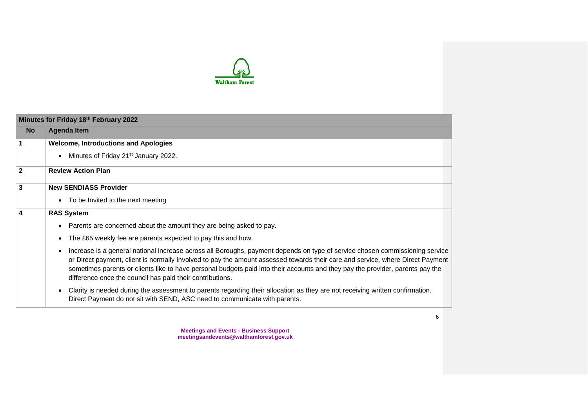

|              | Minutes for Friday 18th February 2022                                                                                                                                                                                                                                                                                                                                                                                                                         |
|--------------|---------------------------------------------------------------------------------------------------------------------------------------------------------------------------------------------------------------------------------------------------------------------------------------------------------------------------------------------------------------------------------------------------------------------------------------------------------------|
| <b>No</b>    | <b>Agenda Item</b>                                                                                                                                                                                                                                                                                                                                                                                                                                            |
| 1            | <b>Welcome, Introductions and Apologies</b>                                                                                                                                                                                                                                                                                                                                                                                                                   |
|              | Minutes of Friday 21 <sup>st</sup> January 2022.                                                                                                                                                                                                                                                                                                                                                                                                              |
| $\mathbf{2}$ | <b>Review Action Plan</b>                                                                                                                                                                                                                                                                                                                                                                                                                                     |
| 3            | <b>New SENDIASS Provider</b>                                                                                                                                                                                                                                                                                                                                                                                                                                  |
|              | • To be Invited to the next meeting                                                                                                                                                                                                                                                                                                                                                                                                                           |
| 4            | <b>RAS System</b>                                                                                                                                                                                                                                                                                                                                                                                                                                             |
|              | Parents are concerned about the amount they are being asked to pay.                                                                                                                                                                                                                                                                                                                                                                                           |
|              | The £65 weekly fee are parents expected to pay this and how.<br>$\bullet$                                                                                                                                                                                                                                                                                                                                                                                     |
|              | Increase is a general national increase across all Boroughs, payment depends on type of service chosen commissioning service<br>or Direct payment, client is normally involved to pay the amount assessed towards their care and service, where Direct Payment<br>sometimes parents or clients like to have personal budgets paid into their accounts and they pay the provider, parents pay the<br>difference once the council has paid their contributions. |
|              | Clarity is needed during the assessment to parents regarding their allocation as they are not receiving written confirmation.<br>Direct Payment do not sit with SEND, ASC need to communicate with parents.                                                                                                                                                                                                                                                   |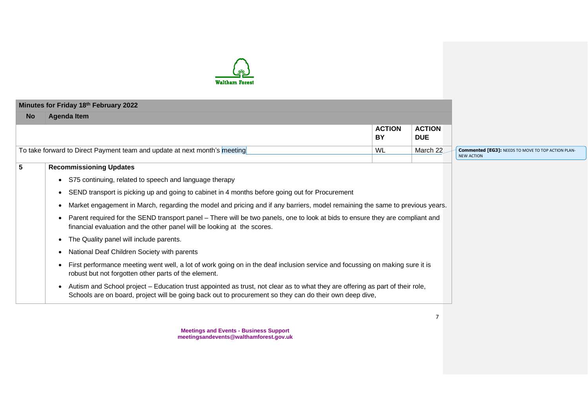

|           | Minutes for Friday 18th February 2022                                                                                                                                                                                                    |                     |                             |
|-----------|------------------------------------------------------------------------------------------------------------------------------------------------------------------------------------------------------------------------------------------|---------------------|-----------------------------|
| <b>No</b> | <b>Agenda Item</b>                                                                                                                                                                                                                       |                     |                             |
|           |                                                                                                                                                                                                                                          | <b>ACTION</b><br>BY | <b>ACTION</b><br><b>DUE</b> |
|           | To take forward to Direct Payment team and update at next month's meeting                                                                                                                                                                | WL                  | March 22                    |
|           | <b>Recommissioning Updates</b>                                                                                                                                                                                                           |                     |                             |
|           | • S75 continuing, related to speech and language therapy                                                                                                                                                                                 |                     |                             |
|           | SEND transport is picking up and going to cabinet in 4 months before going out for Procurement                                                                                                                                           |                     |                             |
|           | Market engagement in March, regarding the model and pricing and if any barriers, model remaining the same to previous years.                                                                                                             |                     |                             |
|           | Parent required for the SEND transport panel – There will be two panels, one to look at bids to ensure they are compliant and<br>financial evaluation and the other panel will be looking at the scores.                                 |                     |                             |
|           | The Quality panel will include parents.                                                                                                                                                                                                  |                     |                             |
|           | National Deaf Children Society with parents                                                                                                                                                                                              |                     |                             |
|           | First performance meeting went well, a lot of work going on in the deaf inclusion service and focussing on making sure it is<br>robust but not forgotten other parts of the element.                                                     |                     |                             |
|           | Autism and School project – Education trust appointed as trust, not clear as to what they are offering as part of their role,<br>Schools are on board, project will be going back out to procurement so they can do their own deep dive, |                     |                             |

7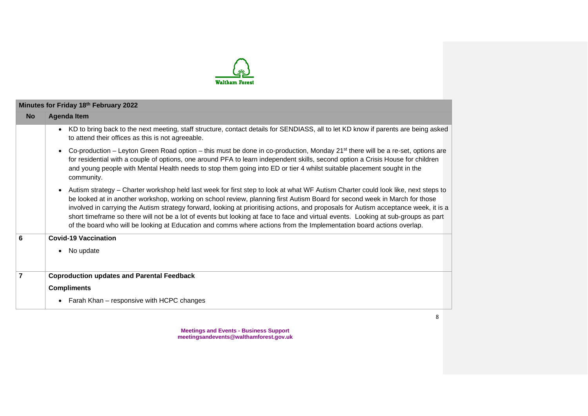

|                | Minutes for Friday 18th February 2022                                                                                                                                                                                                                                                                                                                                                                                                                                                                                                                                                                                                                                              |
|----------------|------------------------------------------------------------------------------------------------------------------------------------------------------------------------------------------------------------------------------------------------------------------------------------------------------------------------------------------------------------------------------------------------------------------------------------------------------------------------------------------------------------------------------------------------------------------------------------------------------------------------------------------------------------------------------------|
| <b>No</b>      | <b>Agenda Item</b>                                                                                                                                                                                                                                                                                                                                                                                                                                                                                                                                                                                                                                                                 |
|                | KD to bring back to the next meeting, staff structure, contact details for SENDIASS, all to let KD know if parents are being asked<br>$\bullet$<br>to attend their offices as this is not agreeable.                                                                                                                                                                                                                                                                                                                                                                                                                                                                               |
|                | Co-production – Leyton Green Road option – this must be done in co-production, Monday 21 <sup>st</sup> there will be a re-set, options are<br>$\bullet$<br>for residential with a couple of options, one around PFA to learn independent skills, second option a Crisis House for children<br>and young people with Mental Health needs to stop them going into ED or tier 4 whilst suitable placement sought in the<br>community.                                                                                                                                                                                                                                                 |
|                | Autism strategy – Charter workshop held last week for first step to look at what WF Autism Charter could look like, next steps to<br>$\bullet$<br>be looked at in another workshop, working on school review, planning first Autism Board for second week in March for those<br>involved in carrying the Autism strategy forward, looking at prioritising actions, and proposals for Autism acceptance week, it is a<br>short timeframe so there will not be a lot of events but looking at face to face and virtual events. Looking at sub-groups as part<br>of the board who will be looking at Education and comms where actions from the Implementation board actions overlap. |
| 6              | <b>Covid-19 Vaccination</b>                                                                                                                                                                                                                                                                                                                                                                                                                                                                                                                                                                                                                                                        |
|                | No update<br>$\bullet$                                                                                                                                                                                                                                                                                                                                                                                                                                                                                                                                                                                                                                                             |
| $\overline{7}$ | <b>Coproduction updates and Parental Feedback</b>                                                                                                                                                                                                                                                                                                                                                                                                                                                                                                                                                                                                                                  |
|                | <b>Compliments</b>                                                                                                                                                                                                                                                                                                                                                                                                                                                                                                                                                                                                                                                                 |
|                | Farah Khan – responsive with HCPC changes<br>$\bullet$                                                                                                                                                                                                                                                                                                                                                                                                                                                                                                                                                                                                                             |
|                |                                                                                                                                                                                                                                                                                                                                                                                                                                                                                                                                                                                                                                                                                    |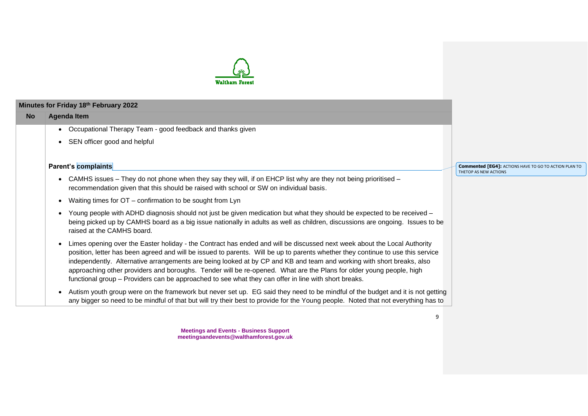

### **Minutes for Friday 18 th February 2022**

#### **No Agenda Item**

- Occupational Therapy Team good feedback and thanks given
- SEN officer good and helpful

## **Parent's complaints**

- CAMHS issues They do not phone when they say they will, if on EHCP list why are they not being prioritised recommendation given that this should be raised with school or SW on individual basis.
- Waiting times for OT confirmation to be sought from Lyn
- Young people with ADHD diagnosis should not just be given medication but what they should be expected to be received being picked up by CAMHS board as a big issue nationally in adults as well as children, discussions are ongoing. Issues to be raised at the CAMHS board.
- Limes opening over the Easter holiday the Contract has ended and will be discussed next week about the Local Authority position, letter has been agreed and will be issued to parents. Will be up to parents whether they continue to use this service independently. Alternative arrangements are being looked at by CP and KB and team and working with short breaks, also approaching other providers and boroughs. Tender will be re-opened. What are the Plans for older young people, high functional group – Providers can be approached to see what they can offer in line with short breaks.
- Autism youth group were on the framework but never set up. EG said they need to be mindful of the budget and it is not getting any bigger so need to be mindful of that but will try their best to provide for the Young people. Noted that not everything has to

**Meetings and Events - Business Support meetingsandevents@walthamforest.gov.uk** **Commented [EG4]:** ACTIONS HAVE TO GO TO ACTION PLAN TO THETOP AS NEW ACTIONS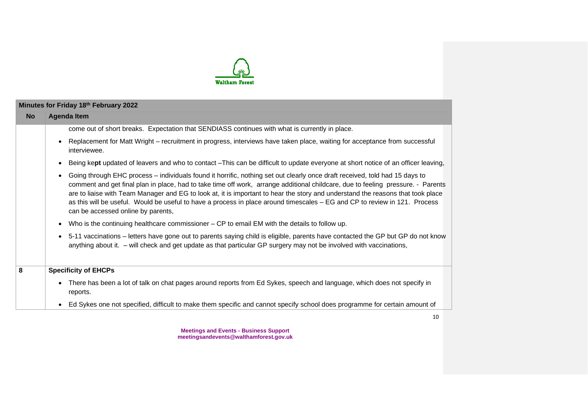

|           | Minutes for Friday 18th February 2022                                                                                                                                                                                                                                                                                                                                                                                                                                                                                                                                  |  |  |  |  |
|-----------|------------------------------------------------------------------------------------------------------------------------------------------------------------------------------------------------------------------------------------------------------------------------------------------------------------------------------------------------------------------------------------------------------------------------------------------------------------------------------------------------------------------------------------------------------------------------|--|--|--|--|
| <b>No</b> | <b>Agenda Item</b>                                                                                                                                                                                                                                                                                                                                                                                                                                                                                                                                                     |  |  |  |  |
|           | come out of short breaks. Expectation that SENDIASS continues with what is currently in place.                                                                                                                                                                                                                                                                                                                                                                                                                                                                         |  |  |  |  |
|           | Replacement for Matt Wright – recruitment in progress, interviews have taken place, waiting for acceptance from successful<br>interviewee.                                                                                                                                                                                                                                                                                                                                                                                                                             |  |  |  |  |
|           | Being kept updated of leavers and who to contact -This can be difficult to update everyone at short notice of an officer leaving,<br>$\bullet$                                                                                                                                                                                                                                                                                                                                                                                                                         |  |  |  |  |
|           | Going through EHC process - individuals found it horrific, nothing set out clearly once draft received, told had 15 days to<br>comment and get final plan in place, had to take time off work, arrange additional childcare, due to feeling pressure. - Parents<br>are to liaise with Team Manager and EG to look at, it is important to hear the story and understand the reasons that took place<br>as this will be useful. Would be useful to have a process in place around timescales – EG and CP to review in 121. Process<br>can be accessed online by parents, |  |  |  |  |
|           | Who is the continuing healthcare commissioner $-$ CP to email EM with the details to follow up.<br>$\bullet$                                                                                                                                                                                                                                                                                                                                                                                                                                                           |  |  |  |  |
|           | 5-11 vaccinations – letters have gone out to parents saying child is eligible, parents have contacted the GP but GP do not know<br>$\bullet$<br>anything about it. - will check and get update as that particular GP surgery may not be involved with vaccinations,                                                                                                                                                                                                                                                                                                    |  |  |  |  |
| 8         | <b>Specificity of EHCPs</b>                                                                                                                                                                                                                                                                                                                                                                                                                                                                                                                                            |  |  |  |  |
|           | There has been a lot of talk on chat pages around reports from Ed Sykes, speech and language, which does not specify in<br>reports.                                                                                                                                                                                                                                                                                                                                                                                                                                    |  |  |  |  |
|           | Ed Sykes one not specified, difficult to make them specific and cannot specify school does programme for certain amount of<br>$\bullet$                                                                                                                                                                                                                                                                                                                                                                                                                                |  |  |  |  |

10

**Meetings and Events - Business Support meetingsandevents@walthamforest.gov.uk**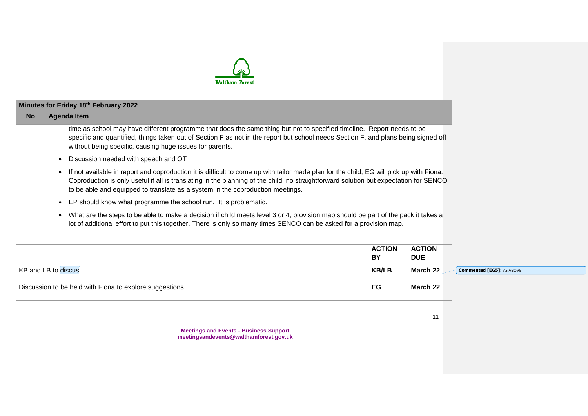

|                                                                                                                                                                                                                                                                                                                                                                                 | Minutes for Friday 18th February 2022                                                                                                                                                                                                                                                                                    |                     |                             |
|---------------------------------------------------------------------------------------------------------------------------------------------------------------------------------------------------------------------------------------------------------------------------------------------------------------------------------------------------------------------------------|--------------------------------------------------------------------------------------------------------------------------------------------------------------------------------------------------------------------------------------------------------------------------------------------------------------------------|---------------------|-----------------------------|
| <b>No</b>                                                                                                                                                                                                                                                                                                                                                                       | <b>Agenda Item</b>                                                                                                                                                                                                                                                                                                       |                     |                             |
|                                                                                                                                                                                                                                                                                                                                                                                 | time as school may have different programme that does the same thing but not to specified timeline. Report needs to be<br>specific and quantified, things taken out of Section F as not in the report but school needs Section F, and plans being signed off<br>without being specific, causing huge issues for parents. |                     |                             |
|                                                                                                                                                                                                                                                                                                                                                                                 | Discussion needed with speech and OT<br>$\bullet$                                                                                                                                                                                                                                                                        |                     |                             |
| If not available in report and coproduction it is difficult to come up with tailor made plan for the child, EG will pick up with Fiona.<br>$\bullet$<br>Coproduction is only useful if all is translating in the planning of the child, no straightforward solution but expectation for SENCO<br>to be able and equipped to translate as a system in the coproduction meetings. |                                                                                                                                                                                                                                                                                                                          |                     |                             |
|                                                                                                                                                                                                                                                                                                                                                                                 | EP should know what programme the school run. It is problematic.<br>$\bullet$                                                                                                                                                                                                                                            |                     |                             |
| What are the steps to be able to make a decision if child meets level 3 or 4, provision map should be part of the pack it takes a<br>$\bullet$<br>lot of additional effort to put this together. There is only so many times SENCO can be asked for a provision map.                                                                                                            |                                                                                                                                                                                                                                                                                                                          |                     |                             |
|                                                                                                                                                                                                                                                                                                                                                                                 |                                                                                                                                                                                                                                                                                                                          | <b>ACTION</b><br>BY | <b>ACTION</b><br><b>DUE</b> |
| KB and LB to discus                                                                                                                                                                                                                                                                                                                                                             |                                                                                                                                                                                                                                                                                                                          | <b>KB/LB</b>        | March 22                    |
|                                                                                                                                                                                                                                                                                                                                                                                 | Discussion to be held with Fiona to explore suggestions                                                                                                                                                                                                                                                                  | EG                  | March 22                    |

**Commented [EG5]:** AS ABOVE

**Meetings and Events - Business Support meetingsandevents@walthamforest.gov.uk**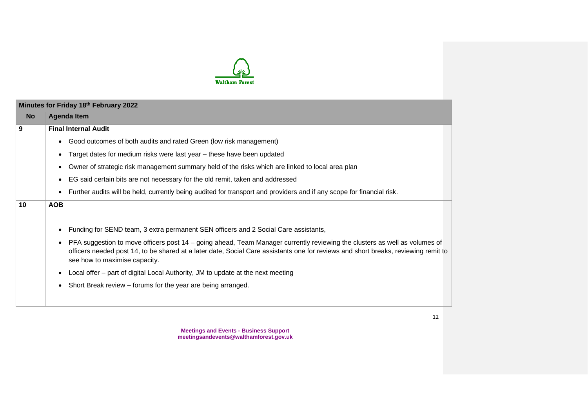

|           | Minutes for Friday 18th February 2022                                                                                                                                                                                                                                                                          |
|-----------|----------------------------------------------------------------------------------------------------------------------------------------------------------------------------------------------------------------------------------------------------------------------------------------------------------------|
| <b>No</b> | <b>Agenda Item</b>                                                                                                                                                                                                                                                                                             |
| 9         | <b>Final Internal Audit</b>                                                                                                                                                                                                                                                                                    |
|           | Good outcomes of both audits and rated Green (low risk management)<br>$\bullet$                                                                                                                                                                                                                                |
|           | Target dates for medium risks were last year - these have been updated<br>$\bullet$                                                                                                                                                                                                                            |
|           | Owner of strategic risk management summary held of the risks which are linked to local area plan<br>$\bullet$                                                                                                                                                                                                  |
|           | EG said certain bits are not necessary for the old remit, taken and addressed<br>$\bullet$                                                                                                                                                                                                                     |
|           | Further audits will be held, currently being audited for transport and providers and if any scope for financial risk.<br>$\bullet$                                                                                                                                                                             |
| 10        | <b>AOB</b>                                                                                                                                                                                                                                                                                                     |
|           |                                                                                                                                                                                                                                                                                                                |
|           | Funding for SEND team, 3 extra permanent SEN officers and 2 Social Care assistants,<br>$\bullet$                                                                                                                                                                                                               |
|           | PFA suggestion to move officers post 14 – going ahead, Team Manager currently reviewing the clusters as well as volumes of<br>$\bullet$<br>officers needed post 14, to be shared at a later date, Social Care assistants one for reviews and short breaks, reviewing remit to<br>see how to maximise capacity. |
|           | Local offer – part of digital Local Authority, JM to update at the next meeting<br>$\bullet$                                                                                                                                                                                                                   |
|           | Short Break review – forums for the year are being arranged.                                                                                                                                                                                                                                                   |
|           |                                                                                                                                                                                                                                                                                                                |